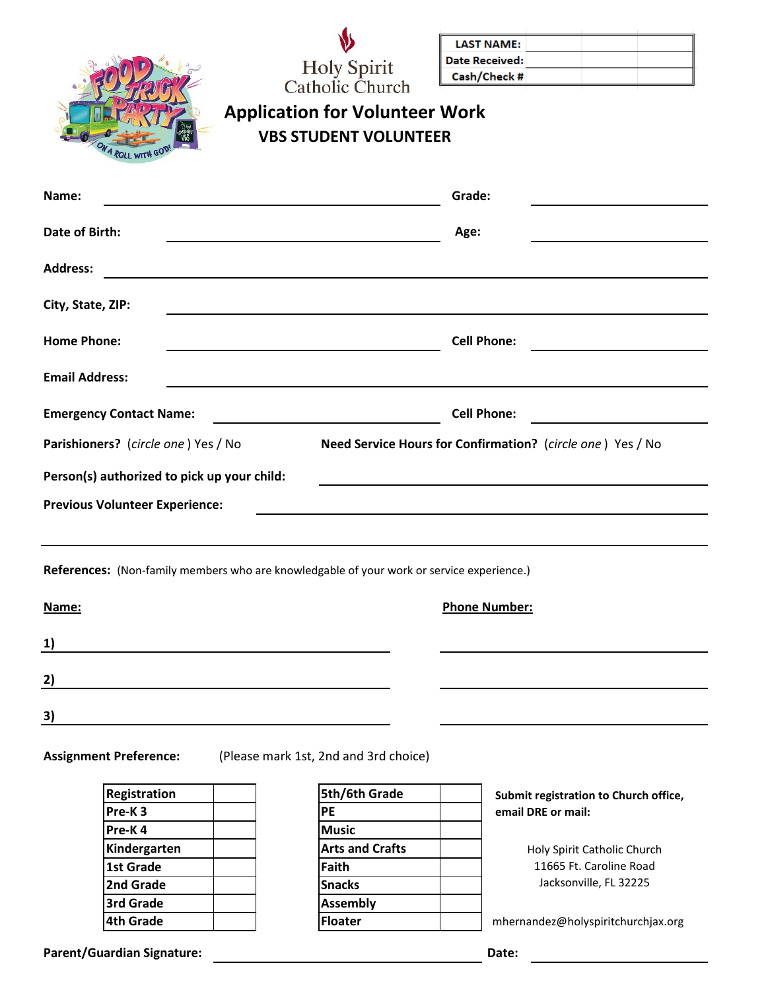| <b>V</b>               |
|------------------------|
| <b>Holy Spirit</b>     |
| <b>Catholic Church</b> |

| <b>LAST NAME:</b> |  |  |
|-------------------|--|--|
| Date Received:    |  |  |
| Cash/Check #      |  |  |

| ON A ROLL WITH GOD! |
|---------------------|

## **Application for Volunteer Work VBS STUDENT VOLUNTEER**

| Name:                                                                                                                                 | Grade:                                                                                    |
|---------------------------------------------------------------------------------------------------------------------------------------|-------------------------------------------------------------------------------------------|
| <b>Date of Birth:</b>                                                                                                                 | Age:                                                                                      |
| <b>Address:</b>                                                                                                                       |                                                                                           |
| City, State, ZIP:<br>and the control of the control of the control of the control of the control of the control of the control of the |                                                                                           |
| <b>Home Phone:</b><br><u> 1989 - Johann Barbara, martin amerikan personal (</u>                                                       | <b>Cell Phone:</b><br><u> 1989 - Jan Barbara Barbara, masa ka</u>                         |
| <b>Email Address:</b>                                                                                                                 | ,我们也不会有什么。""我们的人,我们也不会有什么?""我们的人,我们也不会有什么?""我们的人,我们也不会有什么?""我们的人,我们也不会有什么?""我们的人          |
| <b>Emergency Contact Name:</b>                                                                                                        | <b>Cell Phone:</b>                                                                        |
| Parishioners? (circle one) Yes / No                                                                                                   | Need Service Hours for Confirmation? (circle one) Yes / No                                |
| Person(s) authorized to pick up your child:                                                                                           | the control of the control of the control of the control of the control of the control of |
| <b>Previous Volunteer Experience:</b>                                                                                                 |                                                                                           |
|                                                                                                                                       |                                                                                           |
| References: (Non-family members who are knowledgable of your work or service experience.)                                             |                                                                                           |
| Name:                                                                                                                                 | <b>Phone Number:</b>                                                                      |
| 1)                                                                                                                                    |                                                                                           |
| 2)<br><u> 1989 - Johann Barn, amerikan besteman besteman besteman besteman besteman besteman besteman besteman bestema</u>            |                                                                                           |
| 3)                                                                                                                                    |                                                                                           |
|                                                                                                                                       |                                                                                           |

**Assignment Preference:** (Please mark 1st, 2nd and 3rd choice)

| Registration       | 5th/6th Grade          |
|--------------------|------------------------|
| Pre-K <sub>3</sub> | PE                     |
| Pre-K4             | <b>Music</b>           |
| Kindergarten       | <b>Arts and Crafts</b> |
| 1st Grade          | Faith                  |
| 2nd Grade          | <b>Snacks</b>          |
| 3rd Grade          | <b>Assembly</b>        |
| <b>4th Grade</b>   | <b>Floater</b>         |

| 5th/6th Grade          |  |
|------------------------|--|
| PE                     |  |
| <b>Music</b>           |  |
| <b>Arts and Crafts</b> |  |
| <b>Faith</b>           |  |
| <b>Snacks</b>          |  |
| <b>Assembly</b>        |  |
| <b>Floater</b>         |  |

 **Submit registration to Church office, email DRE or mail:**

> Holy Spirit Catholic Church 11665 Ft. Caroline Road Jacksonville, FL 32225

**4th Grade Floater** mhernandez@holyspiritchurchjax.org

Parent/Guardian Signature: **Date:** Date: Date: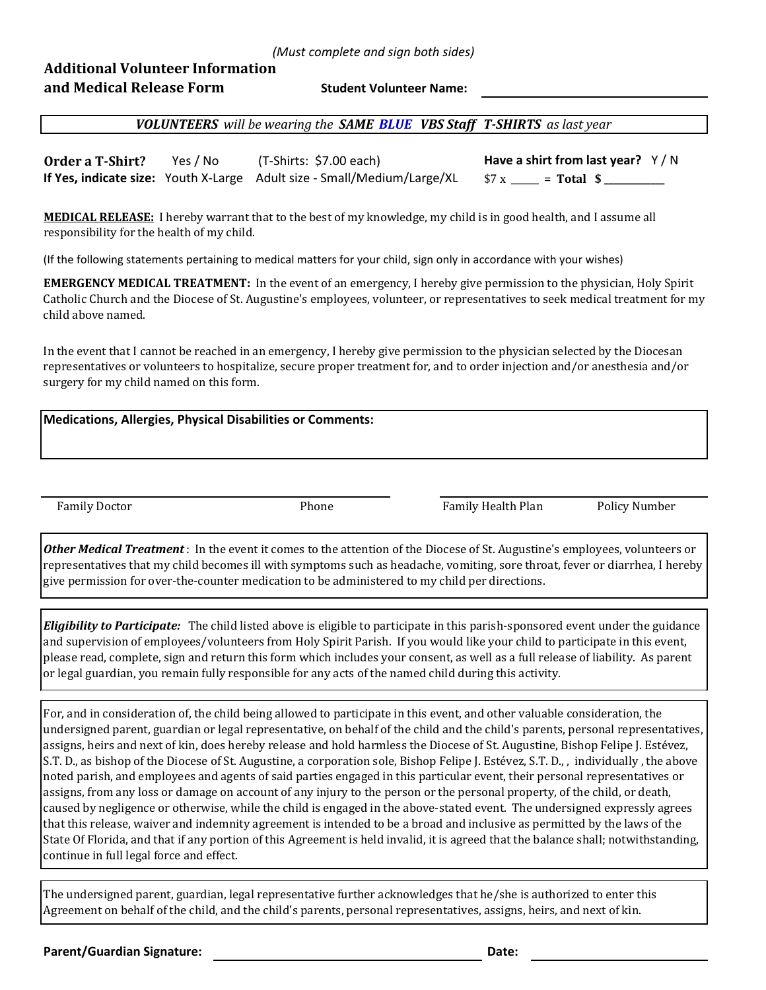## **Additional Volunteer Information and Medical Release Form**

**Student Volunteer Name:**

*VOLUNTEERS will be wearing the SAME BLUE VBS Staff T-SHIRTS as last year* 

**Order a T-Shirt?** Yes / No (T-Shirts: \$7.00 each) **Have a shirt from last year?** Y / N **If Yes, indicate size:** Youth X-Large Adult size - Small/Medium/Large/XL  $$ x \_\_\_\_\$  = Total  $$ \_\_\_\_\_\$ 

**MEDICAL RELEASE:** I hereby warrant that to the best of my knowledge, my child is in good health, and I assume all responsibility for the health of my child.

(If the following statements pertaining to medical matters for your child, sign only in accordance with your wishes)

**EMERGENCY MEDICAL TREATMENT:** In the event of an emergency, I hereby give permission to the physician, Holy Spirit Catholic Church and the Diocese of St. Augustine's employees, volunteer, or representatives to seek medical treatment for my child above named.

In the event that I cannot be reached in an emergency, I hereby give permission to the physician selected by the Diocesan representatives or volunteers to hospitalize, secure proper treatment for, and to order injection and/or anesthesia and/or surgery for my child named on this form.

| <b>Medications, Allergies, Physical Disabilities or Comments:</b> |  |  |  |
|-------------------------------------------------------------------|--|--|--|
|-------------------------------------------------------------------|--|--|--|

Family Doctor **Family Health Plan** Policy Number Policy Number

*Other Medical Treatment* : In the event it comes to the attention of the Diocese of St. Augustine's employees, volunteers or representatives that my child becomes ill with symptoms such as headache, vomiting, sore throat, fever or diarrhea, I hereby give permission for over-the-counter medication to be administered to my child per directions.

*Eligibility to Participate:* The child listed above is eligible to participate in this parish-sponsored event under the guidance and supervision of employees/volunteers from Holy Spirit Parish. If you would like your child to participate in this event, please read, complete, sign and return this form which includes your consent, as well as a full release of liability. As parent or legal guardian, you remain fully responsible for any acts of the named child during this activity.

For, and in consideration of, the child being allowed to participate in this event, and other valuable consideration, the undersigned parent, guardian or legal representative, on behalf of the child and the child's parents, personal representatives, assigns, heirs and next of kin, does hereby release and hold harmless the Diocese of St. Augustine, Bishop Felipe J. Estévez, S.T. D., as bishop of the Diocese of St. Augustine, a corporation sole, Bishop Felipe J. Estévez, S.T. D., , individually , the above noted parish, and employees and agents of said parties engaged in this particular event, their personal representatives or assigns, from any loss or damage on account of any injury to the person or the personal property, of the child, or death, caused by negligence or otherwise, while the child is engaged in the above-stated event. The undersigned expressly agrees that this release, waiver and indemnity agreement is intended to be a broad and inclusive as permitted by the laws of the State Of Florida, and that if any portion of this Agreement is held invalid, it is agreed that the balance shall; notwithstanding, continue in full legal force and effect.

The undersigned parent, guardian, legal representative further acknowledges that he/she is authorized to enter this Agreement on behalf of the child, and the child's parents, personal representatives, assigns, heirs, and next of kin.